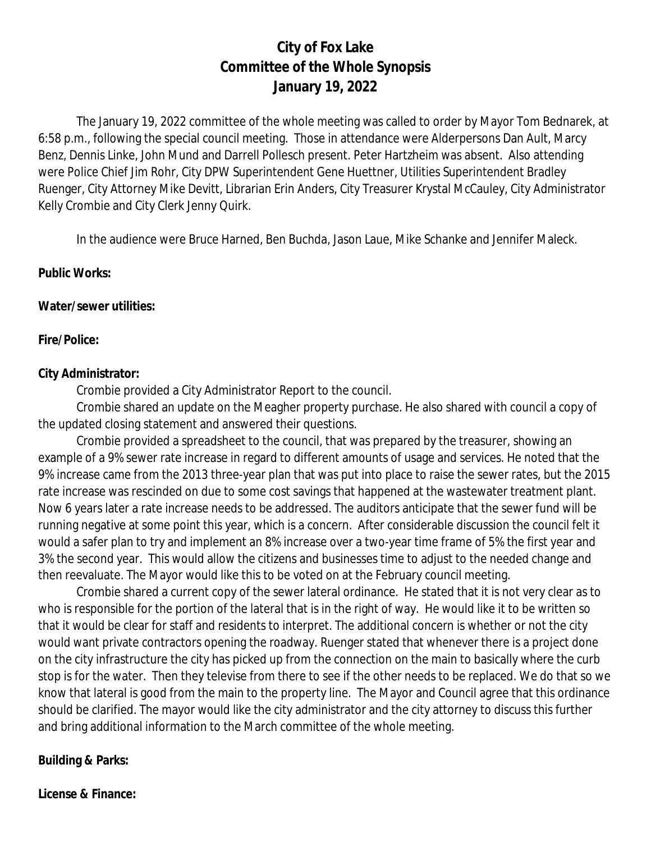# **City of Fox Lake Committee of the Whole Synopsis January 19, 2022**

The January 19, 2022 committee of the whole meeting was called to order by Mayor Tom Bednarek, at 6:58 p.m., following the special council meeting. Those in attendance were Alderpersons Dan Ault, Marcy Benz, Dennis Linke, John Mund and Darrell Pollesch present. Peter Hartzheim was absent. Also attending were Police Chief Jim Rohr, City DPW Superintendent Gene Huettner, Utilities Superintendent Bradley Ruenger, City Attorney Mike Devitt, Librarian Erin Anders, City Treasurer Krystal McCauley, City Administrator Kelly Crombie and City Clerk Jenny Quirk.

In the audience were Bruce Harned, Ben Buchda, Jason Laue, Mike Schanke and Jennifer Maleck.

#### **Public Works:**

#### **Water/sewer utilities:**

#### **Fire/Police:**

#### **City Administrator:**

Crombie provided a City Administrator Report to the council.

Crombie shared an update on the Meagher property purchase. He also shared with council a copy of the updated closing statement and answered their questions.

Crombie provided a spreadsheet to the council, that was prepared by the treasurer, showing an example of a 9% sewer rate increase in regard to different amounts of usage and services. He noted that the 9% increase came from the 2013 three-year plan that was put into place to raise the sewer rates, but the 2015 rate increase was rescinded on due to some cost savings that happened at the wastewater treatment plant. Now 6 years later a rate increase needs to be addressed. The auditors anticipate that the sewer fund will be running negative at some point this year, which is a concern. After considerable discussion the council felt it would a safer plan to try and implement an 8% increase over a two-year time frame of 5% the first year and 3% the second year. This would allow the citizens and businesses time to adjust to the needed change and then reevaluate. The Mayor would like this to be voted on at the February council meeting.

Crombie shared a current copy of the sewer lateral ordinance. He stated that it is not very clear as to who is responsible for the portion of the lateral that is in the right of way. He would like it to be written so that it would be clear for staff and residents to interpret. The additional concern is whether or not the city would want private contractors opening the roadway. Ruenger stated that whenever there is a project done on the city infrastructure the city has picked up from the connection on the main to basically where the curb stop is for the water. Then they televise from there to see if the other needs to be replaced. We do that so we know that lateral is good from the main to the property line. The Mayor and Council agree that this ordinance should be clarified. The mayor would like the city administrator and the city attorney to discuss this further and bring additional information to the March committee of the whole meeting.

#### **Building & Parks:**

**License & Finance:**